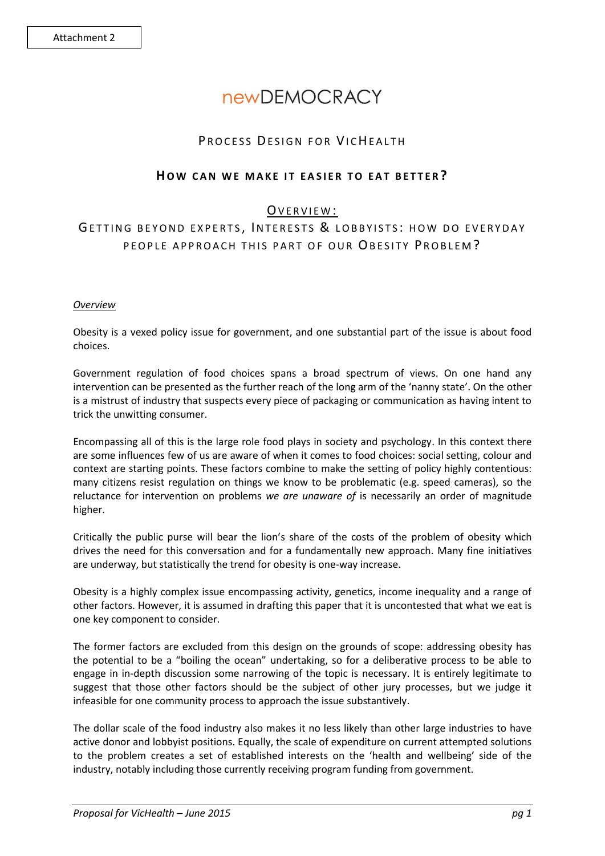# **newDEMOCRACY**

# PROCESS DESIGN FOR VICHEALTH

# **HOW CAN WE MAKE IT EASIER TO EAT BETTER?**

# OVERVIEW:

# GETTING BEYOND EXPERTS, INTERESTS & LOBBYISTS: HOW DO EVERYDAY PEOPLE APPROACH THIS PART OF OUR OBESITY PROBLEM?

#### *Overview*

Obesity is a vexed policy issue for government, and one substantial part of the issue is about food choices.

Government regulation of food choices spans a broad spectrum of views. On one hand any intervention can be presented as the further reach of the long arm of the 'nanny state'. On the other is a mistrust of industry that suspects every piece of packaging or communication as having intent to trick the unwitting consumer.

Encompassing all of this is the large role food plays in society and psychology. In this context there are some influences few of us are aware of when it comes to food choices: social setting, colour and context are starting points. These factors combine to make the setting of policy highly contentious: many citizens resist regulation on things we know to be problematic (e.g. speed cameras), so the reluctance for intervention on problems *we are unaware of* is necessarily an order of magnitude higher.

Critically the public purse will bear the lion's share of the costs of the problem of obesity which drives the need for this conversation and for a fundamentally new approach. Many fine initiatives are underway, but statistically the trend for obesity is one-way increase.

Obesity is a highly complex issue encompassing activity, genetics, income inequality and a range of other factors. However, it is assumed in drafting this paper that it is uncontested that what we eat is one key component to consider.

The former factors are excluded from this design on the grounds of scope: addressing obesity has the potential to be a "boiling the ocean" undertaking, so for a deliberative process to be able to engage in in-depth discussion some narrowing of the topic is necessary. It is entirely legitimate to suggest that those other factors should be the subject of other jury processes, but we judge it infeasible for one community process to approach the issue substantively.

The dollar scale of the food industry also makes it no less likely than other large industries to have active donor and lobbyist positions. Equally, the scale of expenditure on current attempted solutions to the problem creates a set of established interests on the 'health and wellbeing' side of the industry, notably including those currently receiving program funding from government.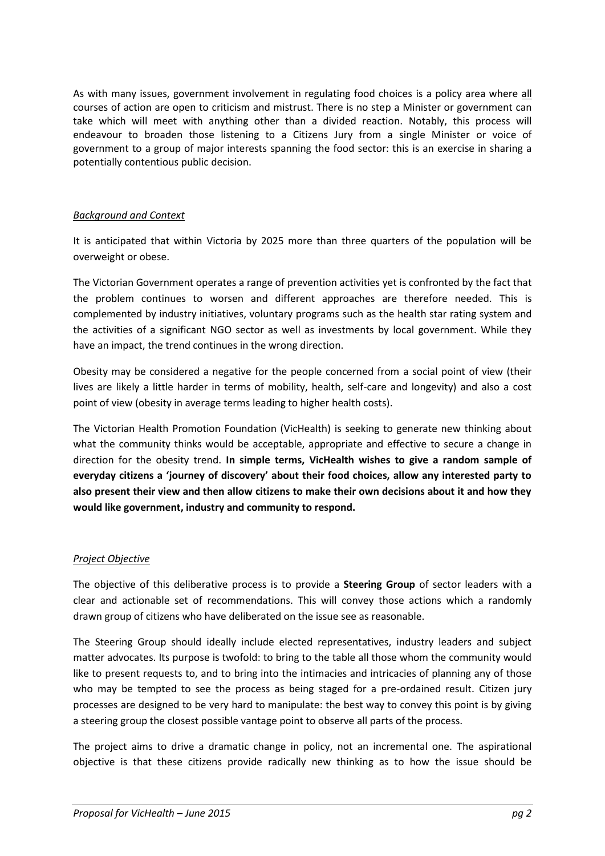As with many issues, government involvement in regulating food choices is a policy area where all courses of action are open to criticism and mistrust. There is no step a Minister or government can take which will meet with anything other than a divided reaction. Notably, this process will endeavour to broaden those listening to a Citizens Jury from a single Minister or voice of government to a group of major interests spanning the food sector: this is an exercise in sharing a potentially contentious public decision.

# *Background and Context*

It is anticipated that within Victoria by 2025 more than three quarters of the population will be overweight or obese.

The Victorian Government operates a range of prevention activities yet is confronted by the fact that the problem continues to worsen and different approaches are therefore needed. This is complemented by industry initiatives, voluntary programs such as the health star rating system and the activities of a significant NGO sector as well as investments by local government. While they have an impact, the trend continues in the wrong direction.

Obesity may be considered a negative for the people concerned from a social point of view (their lives are likely a little harder in terms of mobility, health, self-care and longevity) and also a cost point of view (obesity in average terms leading to higher health costs).

The Victorian Health Promotion Foundation (VicHealth) is seeking to generate new thinking about what the community thinks would be acceptable, appropriate and effective to secure a change in direction for the obesity trend. **In simple terms, VicHealth wishes to give a random sample of everyday citizens a 'journey of discovery' about their food choices, allow any interested party to also present their view and then allow citizens to make their own decisions about it and how they would like government, industry and community to respond.**

# *Project Objective*

The objective of this deliberative process is to provide a **Steering Group** of sector leaders with a clear and actionable set of recommendations. This will convey those actions which a randomly drawn group of citizens who have deliberated on the issue see as reasonable.

The Steering Group should ideally include elected representatives, industry leaders and subject matter advocates. Its purpose is twofold: to bring to the table all those whom the community would like to present requests to, and to bring into the intimacies and intricacies of planning any of those who may be tempted to see the process as being staged for a pre-ordained result. Citizen jury processes are designed to be very hard to manipulate: the best way to convey this point is by giving a steering group the closest possible vantage point to observe all parts of the process.

The project aims to drive a dramatic change in policy, not an incremental one. The aspirational objective is that these citizens provide radically new thinking as to how the issue should be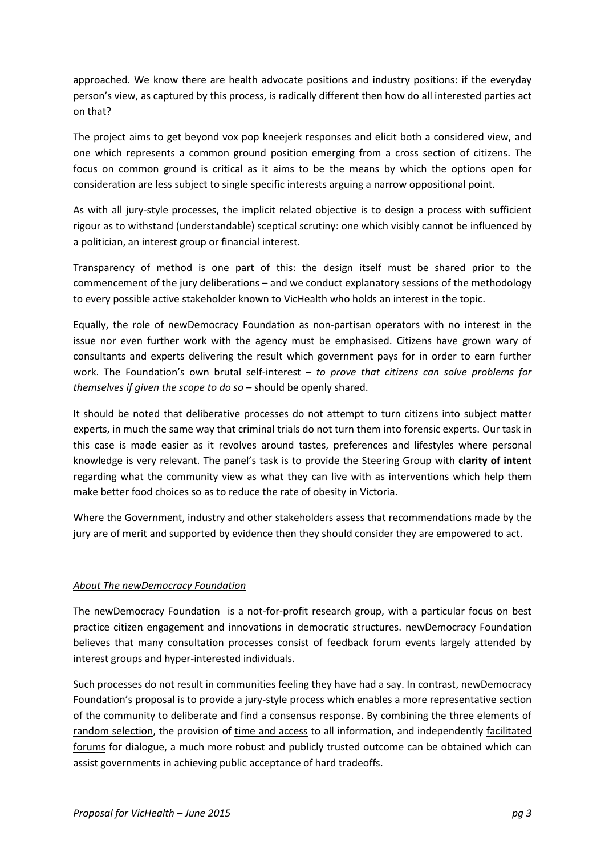approached. We know there are health advocate positions and industry positions: if the everyday person's view, as captured by this process, is radically different then how do all interested parties act on that?

The project aims to get beyond vox pop kneejerk responses and elicit both a considered view, and one which represents a common ground position emerging from a cross section of citizens. The focus on common ground is critical as it aims to be the means by which the options open for consideration are less subject to single specific interests arguing a narrow oppositional point.

As with all jury-style processes, the implicit related objective is to design a process with sufficient rigour as to withstand (understandable) sceptical scrutiny: one which visibly cannot be influenced by a politician, an interest group or financial interest.

Transparency of method is one part of this: the design itself must be shared prior to the commencement of the jury deliberations – and we conduct explanatory sessions of the methodology to every possible active stakeholder known to VicHealth who holds an interest in the topic.

Equally, the role of newDemocracy Foundation as non-partisan operators with no interest in the issue nor even further work with the agency must be emphasised. Citizens have grown wary of consultants and experts delivering the result which government pays for in order to earn further work. The Foundation's own brutal self-interest – *to prove that citizens can solve problems for themselves if given the scope to do so* – should be openly shared.

It should be noted that deliberative processes do not attempt to turn citizens into subject matter experts, in much the same way that criminal trials do not turn them into forensic experts. Our task in this case is made easier as it revolves around tastes, preferences and lifestyles where personal knowledge is very relevant. The panel's task is to provide the Steering Group with **clarity of intent** regarding what the community view as what they can live with as interventions which help them make better food choices so as to reduce the rate of obesity in Victoria.

Where the Government, industry and other stakeholders assess that recommendations made by the jury are of merit and supported by evidence then they should consider they are empowered to act.

# *About The newDemocracy Foundation*

The newDemocracy Foundation is a not-for-profit research group, with a particular focus on best practice citizen engagement and innovations in democratic structures. newDemocracy Foundation believes that many consultation processes consist of feedback forum events largely attended by interest groups and hyper-interested individuals.

Such processes do not result in communities feeling they have had a say. In contrast, newDemocracy Foundation's proposal is to provide a jury-style process which enables a more representative section of the community to deliberate and find a consensus response. By combining the three elements of random selection, the provision of time and access to all information, and independently facilitated forums for dialogue, a much more robust and publicly trusted outcome can be obtained which can assist governments in achieving public acceptance of hard tradeoffs.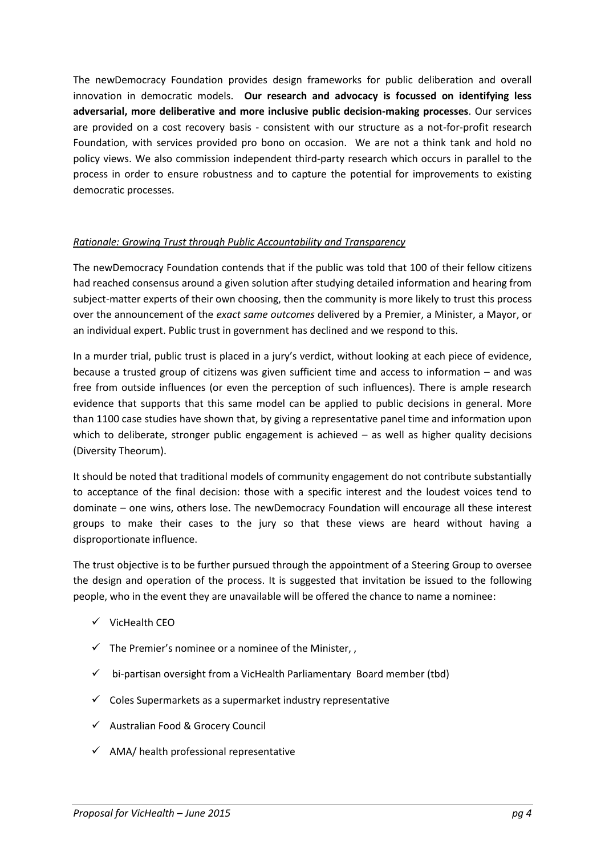The newDemocracy Foundation provides design frameworks for public deliberation and overall innovation in democratic models. **Our research and advocacy is focussed on identifying less adversarial, more deliberative and more inclusive public decision-making processes**. Our services are provided on a cost recovery basis - consistent with our structure as a not-for-profit research Foundation, with services provided pro bono on occasion. We are not a think tank and hold no policy views. We also commission independent third-party research which occurs in parallel to the process in order to ensure robustness and to capture the potential for improvements to existing democratic processes.

#### *Rationale: Growing Trust through Public Accountability and Transparency*

The newDemocracy Foundation contends that if the public was told that 100 of their fellow citizens had reached consensus around a given solution after studying detailed information and hearing from subject-matter experts of their own choosing, then the community is more likely to trust this process over the announcement of the *exact same outcomes* delivered by a Premier, a Minister, a Mayor, or an individual expert. Public trust in government has declined and we respond to this.

In a murder trial, public trust is placed in a jury's verdict, without looking at each piece of evidence, because a trusted group of citizens was given sufficient time and access to information – and was free from outside influences (or even the perception of such influences). There is ample research evidence that supports that this same model can be applied to public decisions in general. More than 1100 case studies have shown that, by giving a representative panel time and information upon which to deliberate, stronger public engagement is achieved – as well as higher quality decisions (Diversity Theorum).

It should be noted that traditional models of community engagement do not contribute substantially to acceptance of the final decision: those with a specific interest and the loudest voices tend to dominate – one wins, others lose. The newDemocracy Foundation will encourage all these interest groups to make their cases to the jury so that these views are heard without having a disproportionate influence.

The trust objective is to be further pursued through the appointment of a Steering Group to oversee the design and operation of the process. It is suggested that invitation be issued to the following people, who in the event they are unavailable will be offered the chance to name a nominee:

- $\checkmark$  VicHealth CFO
- $\checkmark$  The Premier's nominee or a nominee of the Minister.
- $\checkmark$  bi-partisan oversight from a VicHealth Parliamentary Board member (tbd)
- $\checkmark$  Coles Supermarkets as a supermarket industry representative
- $\checkmark$  Australian Food & Grocery Council
- $\checkmark$  AMA/ health professional representative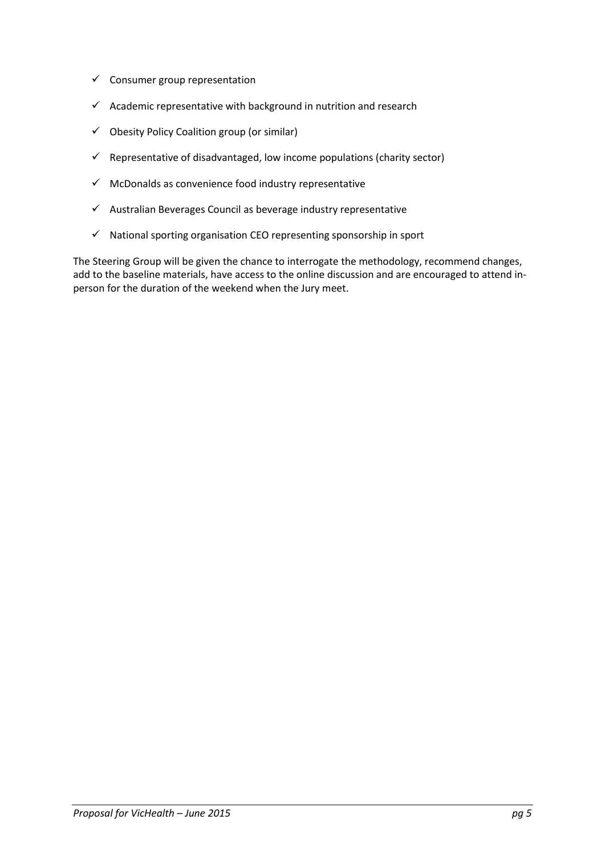- $\checkmark$  Consumer group representation
- $\checkmark$  Academic representative with background in nutrition and research
- $\checkmark$  Obesity Policy Coalition group (or similar)
- $\checkmark$  Representative of disadvantaged, low income populations (charity sector)
- $\checkmark$  McDonalds as convenience food industry representative
- $\checkmark$  Australian Beverages Council as beverage industry representative
- $\checkmark$  National sporting organisation CEO representing sponsorship in sport

The Steering Group will be given the chance to interrogate the methodology, recommend changes, add to the baseline materials, have access to the online discussion and are encouraged to attend inperson for the duration of the weekend when the Jury meet.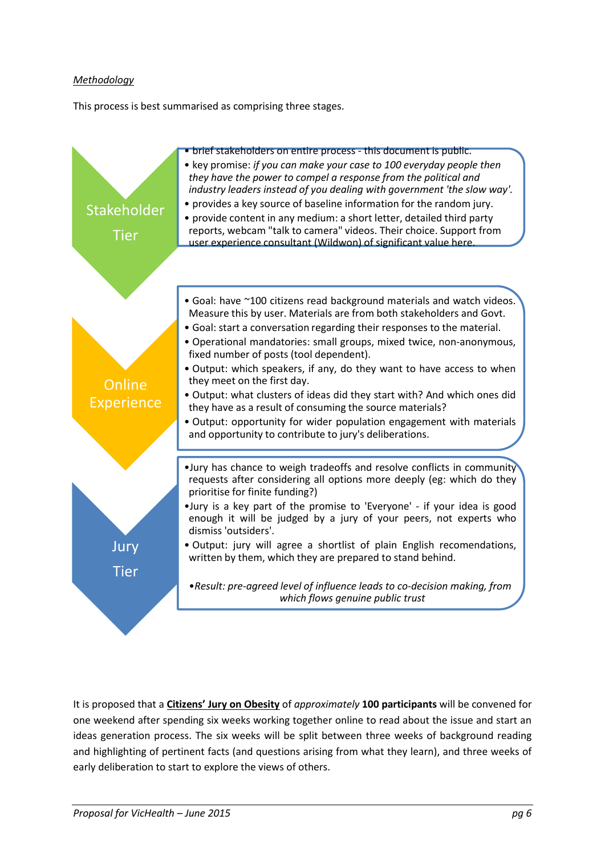# *Methodology*

This process is best summarised as comprising three stages.



It is proposed that a **Citizens' Jury on Obesity** of *approximately* **100 participants** will be convened for one weekend after spending six weeks working together online to read about the issue and start an ideas generation process. The six weeks will be split between three weeks of background reading and highlighting of pertinent facts (and questions arising from what they learn), and three weeks of early deliberation to start to explore the views of others.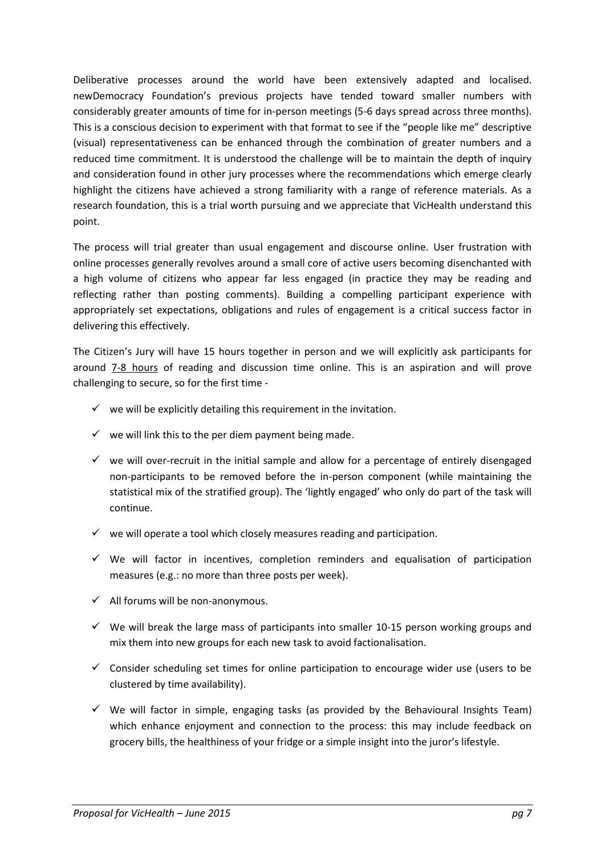Deliberative processes around the world have been extensively adapted and localised. newDemocracy Foundation's previous projects have tended toward smaller numbers with considerably greater amounts of time for in-person meetings (5-6 days spread across three months). This is a conscious decision to experiment with that format to see if the "people like me" descriptive (visual) representativeness can be enhanced through the combination of greater numbers and a reduced time commitment. It is understood the challenge will be to maintain the depth of inquiry and consideration found in other jury processes where the recommendations which emerge clearly highlight the citizens have achieved a strong familiarity with a range of reference materials. As a research foundation, this is a trial worth pursuing and we appreciate that VicHealth understand this point.

The process will trial greater than usual engagement and discourse online. User frustration with online processes generally revolves around a small core of active users becoming disenchanted with a high volume of citizens who appear far less engaged (in practice they may be reading and reflecting rather than posting comments). Building a compelling participant experience with appropriately set expectations, obligations and rules of engagement is a critical success factor in delivering this effectively.

The Citizen's Jury will have 15 hours together in person and we will explicitly ask participants for around 7-8 hours of reading and discussion time online. This is an aspiration and will prove challenging to secure, so for the first time -

- $\checkmark$  we will be explicitly detailing this requirement in the invitation.
- $\checkmark$  we will link this to the per diem payment being made.
- $\checkmark$  we will over-recruit in the initial sample and allow for a percentage of entirely disengaged non-participants to be removed before the in-person component (while maintaining the statistical mix of the stratified group). The 'lightly engaged' who only do part of the task will continue.
- $\checkmark$  we will operate a tool which closely measures reading and participation.
- $\checkmark$  We will factor in incentives, completion reminders and equalisation of participation measures (e.g.: no more than three posts per week).
- $\checkmark$  All forums will be non-anonymous.
- $\checkmark$  We will break the large mass of participants into smaller 10-15 person working groups and mix them into new groups for each new task to avoid factionalisation.
- $\checkmark$  Consider scheduling set times for online participation to encourage wider use (users to be clustered by time availability).
- $\checkmark$  We will factor in simple, engaging tasks (as provided by the Behavioural Insights Team) which enhance enjoyment and connection to the process: this may include feedback on grocery bills, the healthiness of your fridge or a simple insight into the juror's lifestyle.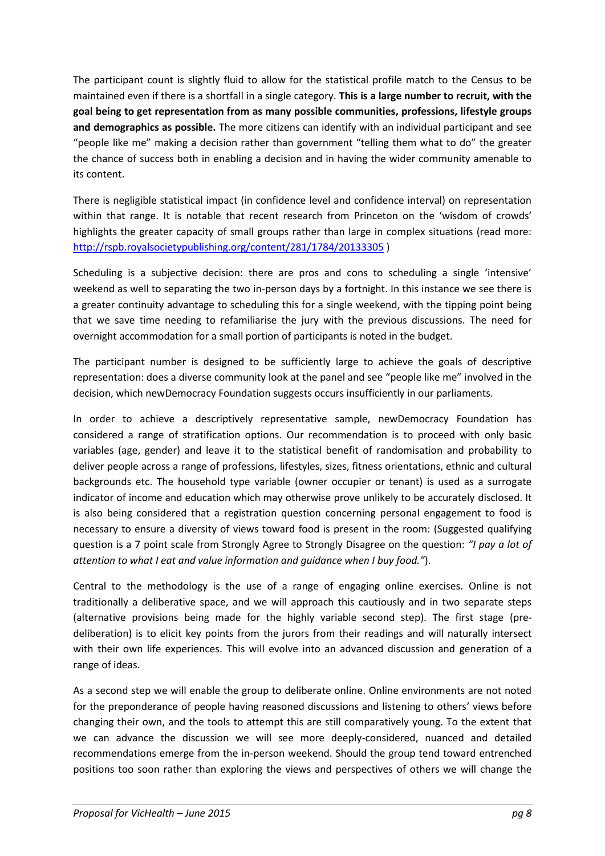The participant count is slightly fluid to allow for the statistical profile match to the Census to be maintained even if there is a shortfall in a single category. **This is a large number to recruit, with the goal being to get representation from as many possible communities, professions, lifestyle groups and demographics as possible.** The more citizens can identify with an individual participant and see "people like me" making a decision rather than government "telling them what to do" the greater the chance of success both in enabling a decision and in having the wider community amenable to its content.

There is negligible statistical impact (in confidence level and confidence interval) on representation within that range. It is notable that recent research from Princeton on the 'wisdom of crowds' highlights the greater capacity of small groups rather than large in complex situations (read more: <http://rspb.royalsocietypublishing.org/content/281/1784/20133305> )

Scheduling is a subjective decision: there are pros and cons to scheduling a single 'intensive' weekend as well to separating the two in-person days by a fortnight. In this instance we see there is a greater continuity advantage to scheduling this for a single weekend, with the tipping point being that we save time needing to refamiliarise the jury with the previous discussions. The need for overnight accommodation for a small portion of participants is noted in the budget.

The participant number is designed to be sufficiently large to achieve the goals of descriptive representation: does a diverse community look at the panel and see "people like me" involved in the decision, which newDemocracy Foundation suggests occurs insufficiently in our parliaments.

In order to achieve a descriptively representative sample, newDemocracy Foundation has considered a range of stratification options. Our recommendation is to proceed with only basic variables (age, gender) and leave it to the statistical benefit of randomisation and probability to deliver people across a range of professions, lifestyles, sizes, fitness orientations, ethnic and cultural backgrounds etc. The household type variable (owner occupier or tenant) is used as a surrogate indicator of income and education which may otherwise prove unlikely to be accurately disclosed. It is also being considered that a registration question concerning personal engagement to food is necessary to ensure a diversity of views toward food is present in the room: (Suggested qualifying question is a 7 point scale from Strongly Agree to Strongly Disagree on the question: *"I pay a lot of attention to what I eat and value information and guidance when I buy food."*).

Central to the methodology is the use of a range of engaging online exercises. Online is not traditionally a deliberative space, and we will approach this cautiously and in two separate steps (alternative provisions being made for the highly variable second step). The first stage (predeliberation) is to elicit key points from the jurors from their readings and will naturally intersect with their own life experiences. This will evolve into an advanced discussion and generation of a range of ideas.

As a second step we will enable the group to deliberate online. Online environments are not noted for the preponderance of people having reasoned discussions and listening to others' views before changing their own, and the tools to attempt this are still comparatively young. To the extent that we can advance the discussion we will see more deeply-considered, nuanced and detailed recommendations emerge from the in-person weekend. Should the group tend toward entrenched positions too soon rather than exploring the views and perspectives of others we will change the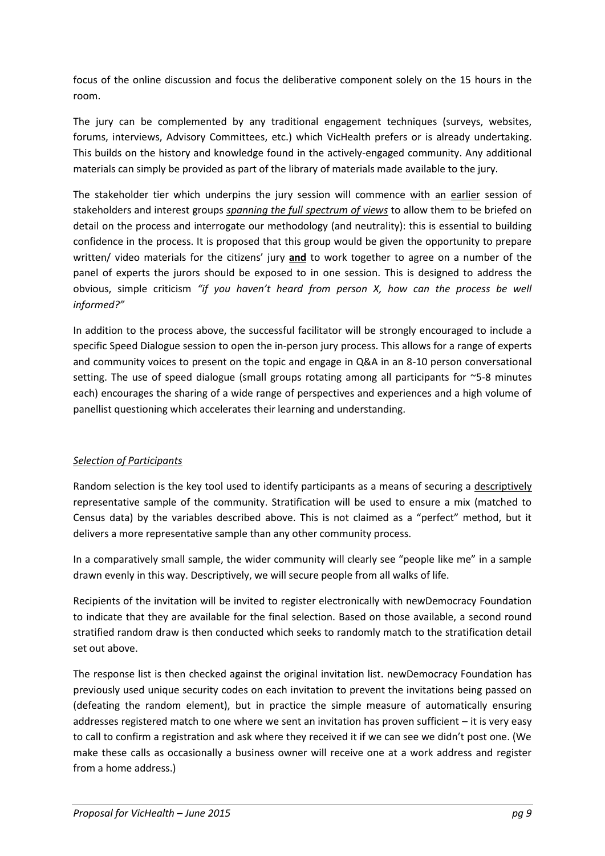focus of the online discussion and focus the deliberative component solely on the 15 hours in the room.

The jury can be complemented by any traditional engagement techniques (surveys, websites, forums, interviews, Advisory Committees, etc.) which VicHealth prefers or is already undertaking. This builds on the history and knowledge found in the actively-engaged community. Any additional materials can simply be provided as part of the library of materials made available to the jury.

The stakeholder tier which underpins the jury session will commence with an earlier session of stakeholders and interest groups *spanning the full spectrum of views* to allow them to be briefed on detail on the process and interrogate our methodology (and neutrality): this is essential to building confidence in the process. It is proposed that this group would be given the opportunity to prepare written/ video materials for the citizens' jury **and** to work together to agree on a number of the panel of experts the jurors should be exposed to in one session. This is designed to address the obvious, simple criticism *"if you haven't heard from person X, how can the process be well informed?"*

In addition to the process above, the successful facilitator will be strongly encouraged to include a specific Speed Dialogue session to open the in-person jury process. This allows for a range of experts and community voices to present on the topic and engage in Q&A in an 8-10 person conversational setting. The use of speed dialogue (small groups rotating among all participants for ~5-8 minutes each) encourages the sharing of a wide range of perspectives and experiences and a high volume of panellist questioning which accelerates their learning and understanding.

# *Selection of Participants*

Random selection is the key tool used to identify participants as a means of securing a descriptively representative sample of the community. Stratification will be used to ensure a mix (matched to Census data) by the variables described above. This is not claimed as a "perfect" method, but it delivers a more representative sample than any other community process.

In a comparatively small sample, the wider community will clearly see "people like me" in a sample drawn evenly in this way. Descriptively, we will secure people from all walks of life.

Recipients of the invitation will be invited to register electronically with newDemocracy Foundation to indicate that they are available for the final selection. Based on those available, a second round stratified random draw is then conducted which seeks to randomly match to the stratification detail set out above.

The response list is then checked against the original invitation list. newDemocracy Foundation has previously used unique security codes on each invitation to prevent the invitations being passed on (defeating the random element), but in practice the simple measure of automatically ensuring addresses registered match to one where we sent an invitation has proven sufficient – it is very easy to call to confirm a registration and ask where they received it if we can see we didn't post one. (We make these calls as occasionally a business owner will receive one at a work address and register from a home address.)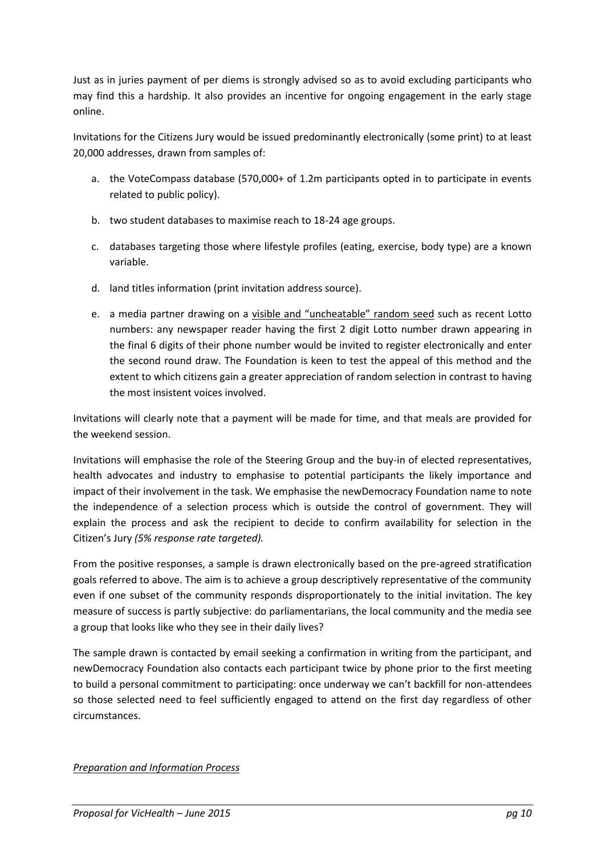Just as in juries payment of per diems is strongly advised so as to avoid excluding participants who may find this a hardship. It also provides an incentive for ongoing engagement in the early stage online.

Invitations for the Citizens Jury would be issued predominantly electronically (some print) to at least 20,000 addresses, drawn from samples of:

- a. the VoteCompass database (570,000+ of 1.2m participants opted in to participate in events related to public policy).
- b. two student databases to maximise reach to 18-24 age groups.
- c. databases targeting those where lifestyle profiles (eating, exercise, body type) are a known variable.
- d. land titles information (print invitation address source).
- e. a media partner drawing on a visible and "uncheatable" random seed such as recent Lotto numbers: any newspaper reader having the first 2 digit Lotto number drawn appearing in the final 6 digits of their phone number would be invited to register electronically and enter the second round draw. The Foundation is keen to test the appeal of this method and the extent to which citizens gain a greater appreciation of random selection in contrast to having the most insistent voices involved.

Invitations will clearly note that a payment will be made for time, and that meals are provided for the weekend session.

Invitations will emphasise the role of the Steering Group and the buy-in of elected representatives, health advocates and industry to emphasise to potential participants the likely importance and impact of their involvement in the task. We emphasise the newDemocracy Foundation name to note the independence of a selection process which is outside the control of government. They will explain the process and ask the recipient to decide to confirm availability for selection in the Citizen's Jury *(5% response rate targeted).*

From the positive responses, a sample is drawn electronically based on the pre-agreed stratification goals referred to above. The aim is to achieve a group descriptively representative of the community even if one subset of the community responds disproportionately to the initial invitation. The key measure of success is partly subjective: do parliamentarians, the local community and the media see a group that looks like who they see in their daily lives?

The sample drawn is contacted by email seeking a confirmation in writing from the participant, and newDemocracy Foundation also contacts each participant twice by phone prior to the first meeting to build a personal commitment to participating: once underway we can't backfill for non-attendees so those selected need to feel sufficiently engaged to attend on the first day regardless of other circumstances.

*Preparation and Information Process*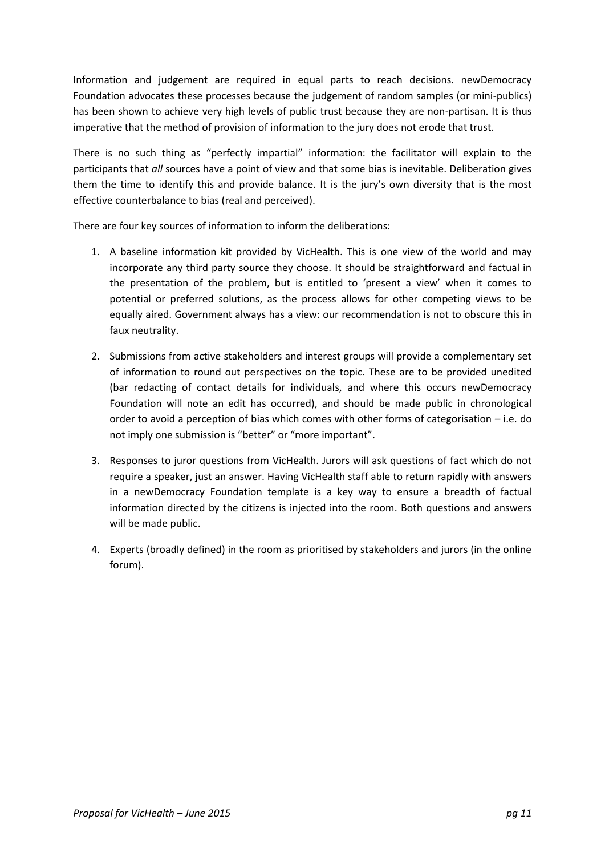Information and judgement are required in equal parts to reach decisions. newDemocracy Foundation advocates these processes because the judgement of random samples (or mini-publics) has been shown to achieve very high levels of public trust because they are non-partisan. It is thus imperative that the method of provision of information to the jury does not erode that trust.

There is no such thing as "perfectly impartial" information: the facilitator will explain to the participants that *all* sources have a point of view and that some bias is inevitable. Deliberation gives them the time to identify this and provide balance. It is the jury's own diversity that is the most effective counterbalance to bias (real and perceived).

There are four key sources of information to inform the deliberations:

- 1. A baseline information kit provided by VicHealth. This is one view of the world and may incorporate any third party source they choose. It should be straightforward and factual in the presentation of the problem, but is entitled to 'present a view' when it comes to potential or preferred solutions, as the process allows for other competing views to be equally aired. Government always has a view: our recommendation is not to obscure this in faux neutrality.
- 2. Submissions from active stakeholders and interest groups will provide a complementary set of information to round out perspectives on the topic. These are to be provided unedited (bar redacting of contact details for individuals, and where this occurs newDemocracy Foundation will note an edit has occurred), and should be made public in chronological order to avoid a perception of bias which comes with other forms of categorisation – i.e. do not imply one submission is "better" or "more important".
- 3. Responses to juror questions from VicHealth. Jurors will ask questions of fact which do not require a speaker, just an answer. Having VicHealth staff able to return rapidly with answers in a newDemocracy Foundation template is a key way to ensure a breadth of factual information directed by the citizens is injected into the room. Both questions and answers will be made public.
- 4. Experts (broadly defined) in the room as prioritised by stakeholders and jurors (in the online forum).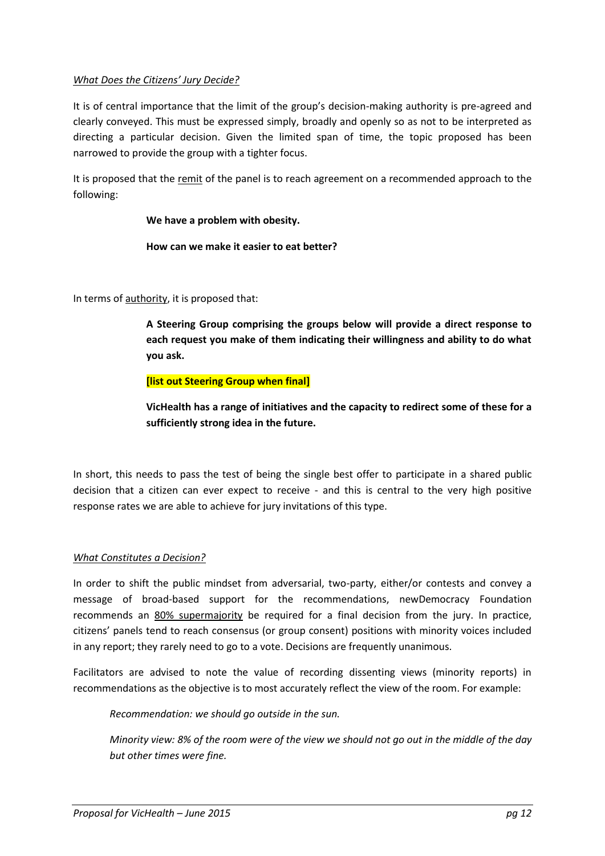# *What Does the Citizens' Jury Decide?*

It is of central importance that the limit of the group's decision-making authority is pre-agreed and clearly conveyed. This must be expressed simply, broadly and openly so as not to be interpreted as directing a particular decision. Given the limited span of time, the topic proposed has been narrowed to provide the group with a tighter focus.

It is proposed that the remit of the panel is to reach agreement on a recommended approach to the following:

# **We have a problem with obesity.**

#### **How can we make it easier to eat better?**

In terms of authority, it is proposed that:

**A Steering Group comprising the groups below will provide a direct response to each request you make of them indicating their willingness and ability to do what you ask.**

# **[list out Steering Group when final]**

**VicHealth has a range of initiatives and the capacity to redirect some of these for a sufficiently strong idea in the future.**

In short, this needs to pass the test of being the single best offer to participate in a shared public decision that a citizen can ever expect to receive - and this is central to the very high positive response rates we are able to achieve for jury invitations of this type.

#### *What Constitutes a Decision?*

In order to shift the public mindset from adversarial, two-party, either/or contests and convey a message of broad-based support for the recommendations, newDemocracy Foundation recommends an 80% supermajority be required for a final decision from the jury. In practice, citizens' panels tend to reach consensus (or group consent) positions with minority voices included in any report; they rarely need to go to a vote. Decisions are frequently unanimous.

Facilitators are advised to note the value of recording dissenting views (minority reports) in recommendations as the objective is to most accurately reflect the view of the room. For example:

*Recommendation: we should go outside in the sun.*

*Minority view: 8% of the room were of the view we should not go out in the middle of the day but other times were fine.*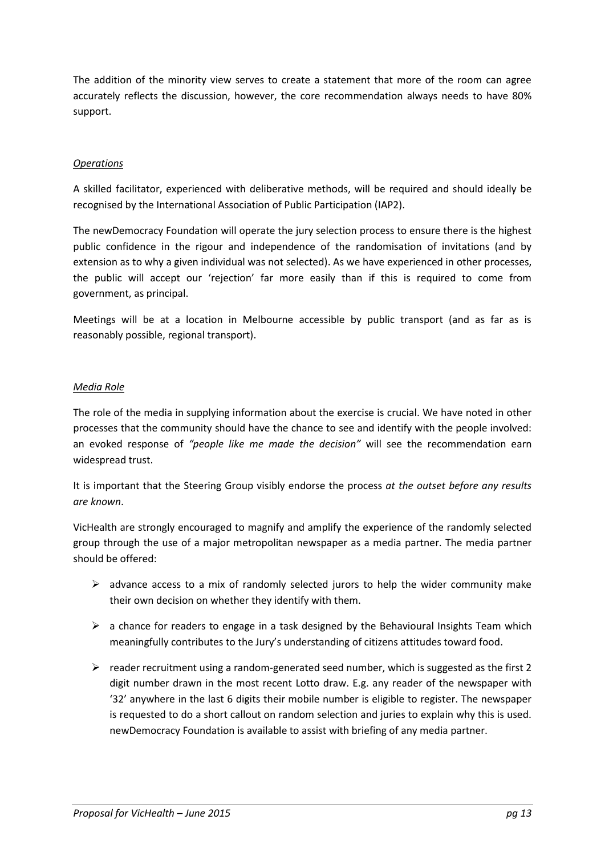The addition of the minority view serves to create a statement that more of the room can agree accurately reflects the discussion, however, the core recommendation always needs to have 80% support.

# *Operations*

A skilled facilitator, experienced with deliberative methods, will be required and should ideally be recognised by the International Association of Public Participation (IAP2).

The newDemocracy Foundation will operate the jury selection process to ensure there is the highest public confidence in the rigour and independence of the randomisation of invitations (and by extension as to why a given individual was not selected). As we have experienced in other processes, the public will accept our 'rejection' far more easily than if this is required to come from government, as principal.

Meetings will be at a location in Melbourne accessible by public transport (and as far as is reasonably possible, regional transport).

# *Media Role*

The role of the media in supplying information about the exercise is crucial. We have noted in other processes that the community should have the chance to see and identify with the people involved: an evoked response of *"people like me made the decision"* will see the recommendation earn widespread trust.

It is important that the Steering Group visibly endorse the process *at the outset before any results are known*.

VicHealth are strongly encouraged to magnify and amplify the experience of the randomly selected group through the use of a major metropolitan newspaper as a media partner. The media partner should be offered:

- $\triangleright$  advance access to a mix of randomly selected jurors to help the wider community make their own decision on whether they identify with them.
- $\triangleright$  a chance for readers to engage in a task designed by the Behavioural Insights Team which meaningfully contributes to the Jury's understanding of citizens attitudes toward food.
- $\triangleright$  reader recruitment using a random-generated seed number, which is suggested as the first 2 digit number drawn in the most recent Lotto draw. E.g. any reader of the newspaper with '32' anywhere in the last 6 digits their mobile number is eligible to register. The newspaper is requested to do a short callout on random selection and juries to explain why this is used. newDemocracy Foundation is available to assist with briefing of any media partner.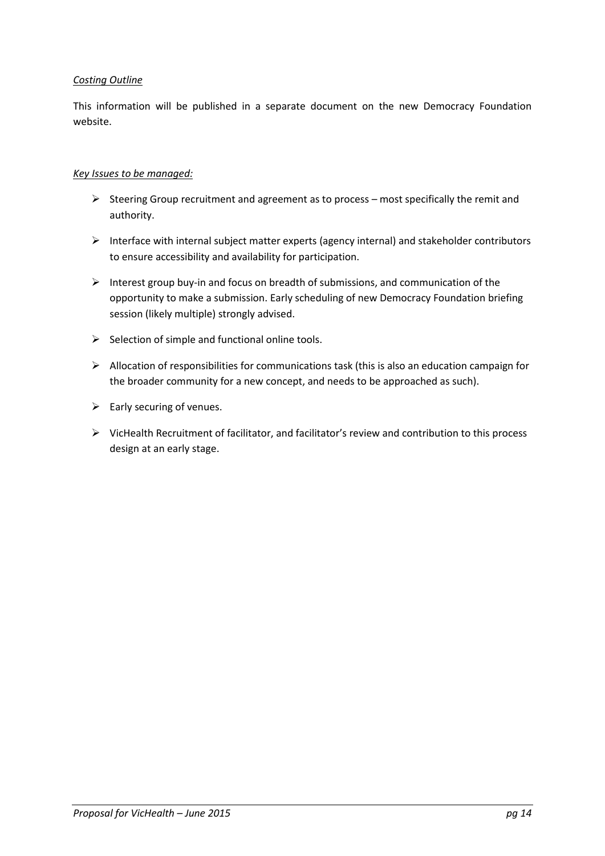# *Costing Outline*

This information will be published in a separate document on the new Democracy Foundation website.

# *Key Issues to be managed:*

- $\triangleright$  Steering Group recruitment and agreement as to process most specifically the remit and authority.
- $\triangleright$  Interface with internal subject matter experts (agency internal) and stakeholder contributors to ensure accessibility and availability for participation.
- Interest group buy-in and focus on breadth of submissions, and communication of the opportunity to make a submission. Early scheduling of new Democracy Foundation briefing session (likely multiple) strongly advised.
- $\triangleright$  Selection of simple and functional online tools.
- $\triangleright$  Allocation of responsibilities for communications task (this is also an education campaign for the broader community for a new concept, and needs to be approached as such).
- $\triangleright$  Early securing of venues.
- $\triangleright$  VicHealth Recruitment of facilitator, and facilitator's review and contribution to this process design at an early stage.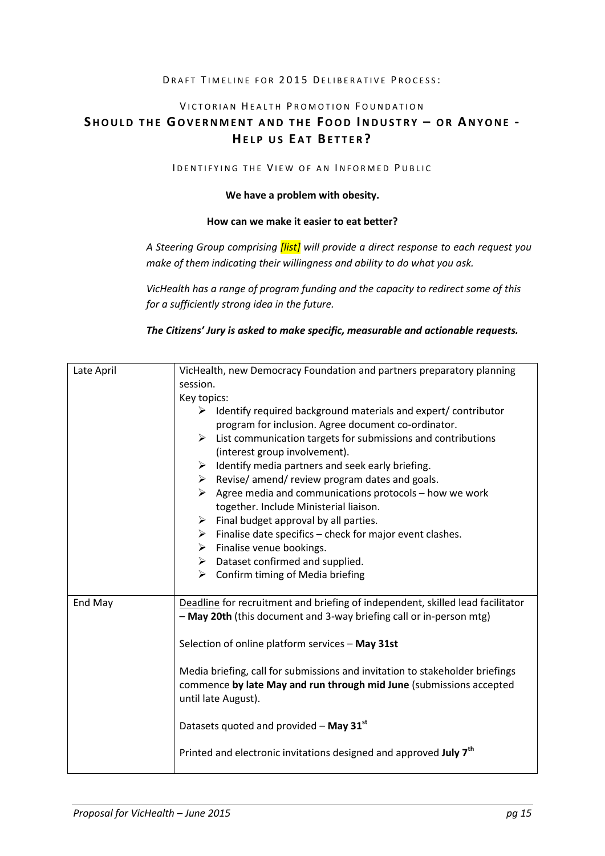#### DRAFT TIMELINE FOR 2015 DELIBERATIVE PROCESS:

#### VICTORIAN HEALTH PROMOTION FOUNDATION

# **SH O U L D T H E GO V E R N M E N T A N D T H E FO O D IN D U S T R Y – O R AN Y O N E - HELP US EAT BETTER?**

#### IDENTIFYING THE VIEW OF AN INFORMED PUBLIC

#### **We have a problem with obesity.**

# **How can we make it easier to eat better?**

*A Steering Group comprising [list] will provide a direct response to each request you make of them indicating their willingness and ability to do what you ask.*

*VicHealth has a range of program funding and the capacity to redirect some of this for a sufficiently strong idea in the future.*

*The Citizens' Jury is asked to make specific, measurable and actionable requests.*

| Late April | VicHealth, new Democracy Foundation and partners preparatory planning                                          |
|------------|----------------------------------------------------------------------------------------------------------------|
|            | session.                                                                                                       |
|            | Key topics:                                                                                                    |
|            | $\triangleright$ Identify required background materials and expert/ contributor                                |
|            | program for inclusion. Agree document co-ordinator.                                                            |
|            | $\triangleright$ List communication targets for submissions and contributions<br>(interest group involvement). |
|            | $\triangleright$ Identify media partners and seek early briefing.                                              |
|            | $\triangleright$ Revise/ amend/ review program dates and goals.                                                |
|            | $\triangleright$ Agree media and communications protocols – how we work                                        |
|            | together. Include Ministerial liaison.                                                                         |
|            | $\triangleright$ Final budget approval by all parties.                                                         |
|            | $\triangleright$ Finalise date specifics – check for major event clashes.                                      |
|            | $\triangleright$ Finalise venue bookings.                                                                      |
|            | $\triangleright$ Dataset confirmed and supplied.                                                               |
|            | $\triangleright$ Confirm timing of Media briefing                                                              |
|            |                                                                                                                |
| End May    | Deadline for recruitment and briefing of independent, skilled lead facilitator                                 |
|            | - May 20th (this document and 3-way briefing call or in-person mtg)                                            |
|            |                                                                                                                |
|            | Selection of online platform services - May 31st                                                               |
|            |                                                                                                                |
|            | Media briefing, call for submissions and invitation to stakeholder briefings                                   |
|            | commence by late May and run through mid June (submissions accepted                                            |
|            | until late August).                                                                                            |
|            | Datasets quoted and provided $-$ May 31 $^{\rm st}$                                                            |
|            |                                                                                                                |
|            | Printed and electronic invitations designed and approved July 7 <sup>th</sup>                                  |
|            |                                                                                                                |
|            |                                                                                                                |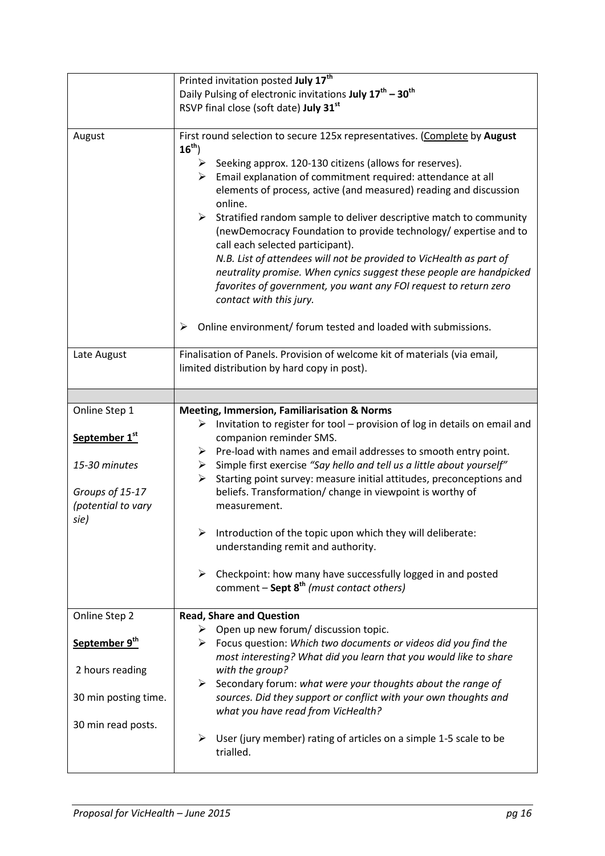|                           | Printed invitation posted July 17 <sup>th</sup>                                                                                                                                                                                                                                                                                                                                                                                                                                                                                                                                                                                                                                                                                                                                                                                |
|---------------------------|--------------------------------------------------------------------------------------------------------------------------------------------------------------------------------------------------------------------------------------------------------------------------------------------------------------------------------------------------------------------------------------------------------------------------------------------------------------------------------------------------------------------------------------------------------------------------------------------------------------------------------------------------------------------------------------------------------------------------------------------------------------------------------------------------------------------------------|
|                           | Daily Pulsing of electronic invitations July 17 <sup>th</sup> - 30 <sup>th</sup>                                                                                                                                                                                                                                                                                                                                                                                                                                                                                                                                                                                                                                                                                                                                               |
|                           | RSVP final close (soft date) July 31st                                                                                                                                                                                                                                                                                                                                                                                                                                                                                                                                                                                                                                                                                                                                                                                         |
|                           |                                                                                                                                                                                                                                                                                                                                                                                                                                                                                                                                                                                                                                                                                                                                                                                                                                |
| August                    | First round selection to secure 125x representatives. (Complete by August<br>$16^{th}$ )<br>Seeking approx. 120-130 citizens (allows for reserves).<br>➤<br>$\triangleright$ Email explanation of commitment required: attendance at all<br>elements of process, active (and measured) reading and discussion<br>online.<br>Stratified random sample to deliver descriptive match to community<br>≻<br>(newDemocracy Foundation to provide technology/ expertise and to<br>call each selected participant).<br>N.B. List of attendees will not be provided to VicHealth as part of<br>neutrality promise. When cynics suggest these people are handpicked<br>favorites of government, you want any FOI request to return zero<br>contact with this jury.<br>Online environment/ forum tested and loaded with submissions.<br>➤ |
| Late August               | Finalisation of Panels. Provision of welcome kit of materials (via email,                                                                                                                                                                                                                                                                                                                                                                                                                                                                                                                                                                                                                                                                                                                                                      |
|                           |                                                                                                                                                                                                                                                                                                                                                                                                                                                                                                                                                                                                                                                                                                                                                                                                                                |
|                           | limited distribution by hard copy in post).                                                                                                                                                                                                                                                                                                                                                                                                                                                                                                                                                                                                                                                                                                                                                                                    |
|                           |                                                                                                                                                                                                                                                                                                                                                                                                                                                                                                                                                                                                                                                                                                                                                                                                                                |
|                           |                                                                                                                                                                                                                                                                                                                                                                                                                                                                                                                                                                                                                                                                                                                                                                                                                                |
| Online Step 1             | <b>Meeting, Immersion, Familiarisation &amp; Norms</b>                                                                                                                                                                                                                                                                                                                                                                                                                                                                                                                                                                                                                                                                                                                                                                         |
|                           | Invitation to register for tool - provision of log in details on email and<br>≻                                                                                                                                                                                                                                                                                                                                                                                                                                                                                                                                                                                                                                                                                                                                                |
| September 1st             | companion reminder SMS.                                                                                                                                                                                                                                                                                                                                                                                                                                                                                                                                                                                                                                                                                                                                                                                                        |
|                           | $\triangleright$ Pre-load with names and email addresses to smooth entry point.                                                                                                                                                                                                                                                                                                                                                                                                                                                                                                                                                                                                                                                                                                                                                |
| 15-30 minutes             | Simple first exercise "Say hello and tell us a little about yourself"<br>$\blacktriangleright$                                                                                                                                                                                                                                                                                                                                                                                                                                                                                                                                                                                                                                                                                                                                 |
|                           | Starting point survey: measure initial attitudes, preconceptions and<br>≻                                                                                                                                                                                                                                                                                                                                                                                                                                                                                                                                                                                                                                                                                                                                                      |
| Groups of 15-17           | beliefs. Transformation/ change in viewpoint is worthy of                                                                                                                                                                                                                                                                                                                                                                                                                                                                                                                                                                                                                                                                                                                                                                      |
| (potential to vary        | measurement.                                                                                                                                                                                                                                                                                                                                                                                                                                                                                                                                                                                                                                                                                                                                                                                                                   |
| sie)                      |                                                                                                                                                                                                                                                                                                                                                                                                                                                                                                                                                                                                                                                                                                                                                                                                                                |
|                           | Introduction of the topic upon which they will deliberate:<br>➤                                                                                                                                                                                                                                                                                                                                                                                                                                                                                                                                                                                                                                                                                                                                                                |
|                           | understanding remit and authority.                                                                                                                                                                                                                                                                                                                                                                                                                                                                                                                                                                                                                                                                                                                                                                                             |
|                           |                                                                                                                                                                                                                                                                                                                                                                                                                                                                                                                                                                                                                                                                                                                                                                                                                                |
|                           |                                                                                                                                                                                                                                                                                                                                                                                                                                                                                                                                                                                                                                                                                                                                                                                                                                |
|                           | Checkpoint: how many have successfully logged in and posted<br>≻                                                                                                                                                                                                                                                                                                                                                                                                                                                                                                                                                                                                                                                                                                                                                               |
|                           | comment $-$ Sept $8^{th}$ (must contact others)                                                                                                                                                                                                                                                                                                                                                                                                                                                                                                                                                                                                                                                                                                                                                                                |
|                           |                                                                                                                                                                                                                                                                                                                                                                                                                                                                                                                                                                                                                                                                                                                                                                                                                                |
| Online Step 2             | <b>Read, Share and Question</b>                                                                                                                                                                                                                                                                                                                                                                                                                                                                                                                                                                                                                                                                                                                                                                                                |
|                           | $\triangleright$ Open up new forum/ discussion topic.                                                                                                                                                                                                                                                                                                                                                                                                                                                                                                                                                                                                                                                                                                                                                                          |
| September 9 <sup>th</sup> | $\triangleright$ Focus question: Which two documents or videos did you find the                                                                                                                                                                                                                                                                                                                                                                                                                                                                                                                                                                                                                                                                                                                                                |
|                           | most interesting? What did you learn that you would like to share                                                                                                                                                                                                                                                                                                                                                                                                                                                                                                                                                                                                                                                                                                                                                              |
| 2 hours reading           | with the group?                                                                                                                                                                                                                                                                                                                                                                                                                                                                                                                                                                                                                                                                                                                                                                                                                |
|                           | Secondary forum: what were your thoughts about the range of<br>➤                                                                                                                                                                                                                                                                                                                                                                                                                                                                                                                                                                                                                                                                                                                                                               |
| 30 min posting time.      | sources. Did they support or conflict with your own thoughts and                                                                                                                                                                                                                                                                                                                                                                                                                                                                                                                                                                                                                                                                                                                                                               |
|                           |                                                                                                                                                                                                                                                                                                                                                                                                                                                                                                                                                                                                                                                                                                                                                                                                                                |
|                           |                                                                                                                                                                                                                                                                                                                                                                                                                                                                                                                                                                                                                                                                                                                                                                                                                                |
|                           | what you have read from VicHealth?                                                                                                                                                                                                                                                                                                                                                                                                                                                                                                                                                                                                                                                                                                                                                                                             |
| 30 min read posts.        |                                                                                                                                                                                                                                                                                                                                                                                                                                                                                                                                                                                                                                                                                                                                                                                                                                |
|                           | User (jury member) rating of articles on a simple 1-5 scale to be<br>≻<br>trialled.                                                                                                                                                                                                                                                                                                                                                                                                                                                                                                                                                                                                                                                                                                                                            |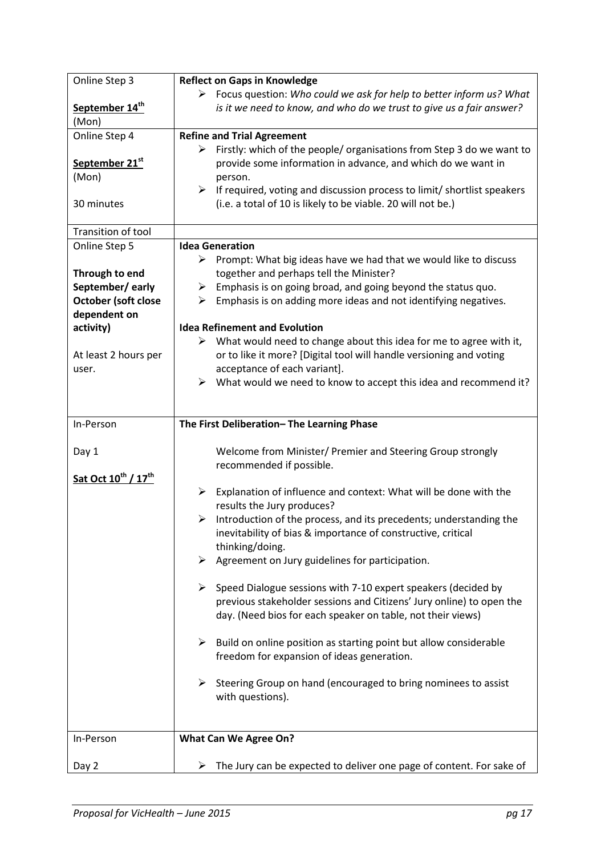| Online Step 3                               | <b>Reflect on Gaps in Knowledge</b>                                                 |
|---------------------------------------------|-------------------------------------------------------------------------------------|
|                                             | > Focus question: Who could we ask for help to better inform us? What               |
| September 14 <sup>th</sup>                  | is it we need to know, and who do we trust to give us a fair answer?                |
| (Mon)                                       |                                                                                     |
| Online Step 4                               | <b>Refine and Trial Agreement</b>                                                   |
|                                             | Firstly: which of the people/ organisations from Step 3 do we want to<br>➤          |
| September 21st                              | provide some information in advance, and which do we want in                        |
| (Mon)                                       | person.                                                                             |
|                                             | If required, voting and discussion process to limit/ shortlist speakers<br>≻        |
| 30 minutes                                  | (i.e. a total of 10 is likely to be viable. 20 will not be.)                        |
|                                             |                                                                                     |
| Transition of tool                          |                                                                                     |
| Online Step 5                               | <b>Idea Generation</b>                                                              |
|                                             | $\triangleright$ Prompt: What big ideas have we had that we would like to discuss   |
| Through to end                              | together and perhaps tell the Minister?                                             |
| September/early                             | Emphasis is on going broad, and going beyond the status quo.<br>➤                   |
| October (soft close                         | Emphasis is on adding more ideas and not identifying negatives.<br>≻                |
| dependent on                                |                                                                                     |
| activity)                                   | <b>Idea Refinement and Evolution</b>                                                |
|                                             | $\triangleright$ What would need to change about this idea for me to agree with it, |
| At least 2 hours per                        | or to like it more? [Digital tool will handle versioning and voting                 |
| user.                                       | acceptance of each variant].                                                        |
|                                             | $\triangleright$ What would we need to know to accept this idea and recommend it?   |
|                                             |                                                                                     |
|                                             |                                                                                     |
| In-Person                                   | The First Deliberation-The Learning Phase                                           |
|                                             |                                                                                     |
| Day 1                                       | Welcome from Minister/ Premier and Steering Group strongly                          |
|                                             | recommended if possible.                                                            |
| Sat Oct 10 <sup>th</sup> / 17 <sup>th</sup> |                                                                                     |
|                                             | ≻<br>Explanation of influence and context: What will be done with the               |
|                                             | results the Jury produces?                                                          |
|                                             | Introduction of the process, and its precedents; understanding the<br>➤             |
|                                             | inevitability of bias & importance of constructive, critical                        |
|                                             | thinking/doing.                                                                     |
|                                             | $\triangleright$ Agreement on Jury guidelines for participation.                    |
|                                             |                                                                                     |
|                                             | Speed Dialogue sessions with 7-10 expert speakers (decided by<br>➤                  |
|                                             | previous stakeholder sessions and Citizens' Jury online) to open the                |
|                                             | day. (Need bios for each speaker on table, not their views)                         |
|                                             |                                                                                     |
|                                             | $\triangleright$ Build on online position as starting point but allow considerable  |
|                                             | freedom for expansion of ideas generation.                                          |
|                                             |                                                                                     |
|                                             | Steering Group on hand (encouraged to bring nominees to assist<br>➤                 |
|                                             | with questions).                                                                    |
|                                             |                                                                                     |
|                                             |                                                                                     |
| In-Person                                   | <b>What Can We Agree On?</b>                                                        |
|                                             |                                                                                     |
| Day 2                                       | The Jury can be expected to deliver one page of content. For sake of<br>➤           |